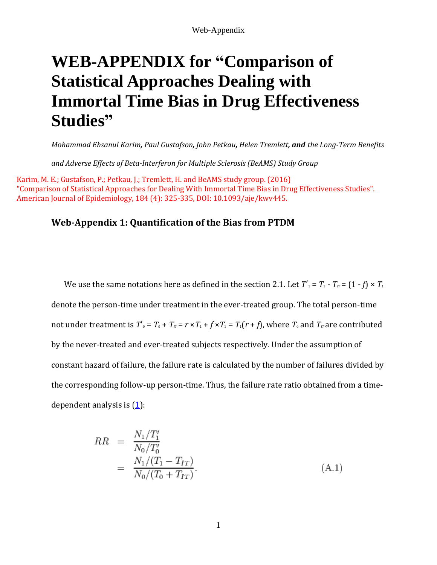# **WEB-APPENDIX for "Comparison of Statistical Approaches Dealing with Immortal Time Bias in Drug Effectiveness Studies"**

*Mohammad Ehsanul Karim, Paul Gustafson, John Petkau, Helen Tremlett, and the Long-Term Benefits* 

*and Adverse Effects of Beta-Interferon for Multiple Sclerosis (BeAMS) Study Group*

Karim, M. E.; Gustafson, P.; Petkau, J.; Tremlett, H. and BeAMS study group. (2016) "Comparison of Statistical Approaches for Dealing With Immortal Time Bias in Drug Effectiveness Studies". American Journal of Epidemiology, 184 (4): 325-335, DOI: 10.1093/aje/kwv445.

## **Web-Appendix 1: Quantification of the Bias from PTDM**

We use the same notations here as defined in the section 2.1. Let  $T'_1 = T_1 - T_{\pi} = (1 - f) \times T_1$ denote the person-time under treatment in the ever-treated group. The total person-time not under treatment is  $T'_{0} = T_{0} + T_{\pi} = r \times T_{1} + f \times T_{1} = T_{1}(r + f)$ , where  $T_{0}$  and  $T_{\pi}$  are contributed by the never-treated and ever-treated subjects respectively. Under the assumption of constant hazard of failure, the failure rate is calculated by the number of failures divided by the corresponding follow-up person-time. Thus, the failure rate ratio obtained from a timedependent analysis is (1):

$$
RR = \frac{N_1/T_1'}{N_0/T_0'}
$$
  
= 
$$
\frac{N_1/(T_1 - T_{IT})}{N_0/(T_0 + T_{IT})}.
$$
 (A.1)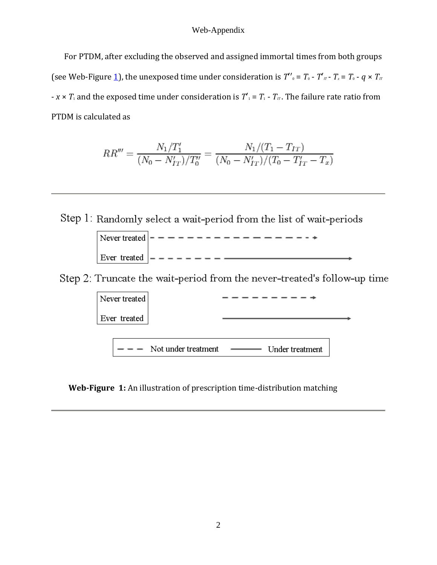For PTDM, after excluding the observed and assigned immortal times from both groups (see Web-Figure 1), the unexposed time under consideration is  $T'$ <sub>0</sub> =  $T_0$  -  $T'$ <sub>*IT*</sub> -  $T_x = T_0$  -  $q \times T_{IT}$  $-x \times T_1$  and the exposed time under consideration is  $T_1' = T_1 - T_T$ . The failure rate ratio from PTDM is calculated as

$$
RR''' = \frac{N_1/T_1'}{(N_0 - N_{IT}')/T_0''} = \frac{N_1/(T_1 - T_{IT})}{(N_0 - N_{IT}')/(T_0 - T_{IT}' - T_x)}
$$

Step 1: Randomly select a wait-period from the list of wait-periods

Step 2: Truncate the wait-period from the never-treated's follow-up time



**Web-Figure 1:** An illustration of prescription time-distribution matching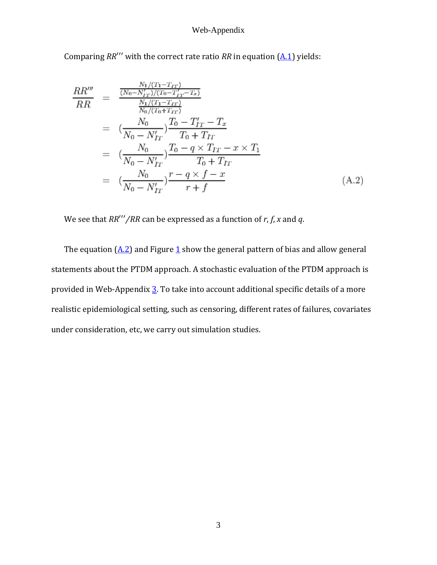Comparing *RR*′′′ with the correct rate ratio *RR* in equation (A.1) yields:

$$
\frac{RR'''}{RR} = \frac{\frac{N_1/(T_1 - T_{IT})}{(N_0 - N'_{IT})/(T_0 - T'_{IT} - T_x)}}{\frac{N_1/(T_1 - T_{IT})}{N_0/(T_0 + T_{IT})}} \\
= \frac{(N_0 - N'_{IT})}{T_0 - T'_{IT}} \frac{T_0 - T'_{IT} - T_x}{T_0 + T_{IT}} \\
= \frac{(N_0 - N'_{IT})}{N_0 - N'_{IT}} \frac{T_0 - q \times T_{IT} - x \times T_1}{T_0 + T_{IT}} \\
= \frac{N_0}{N_0 - N'_{IT}} \frac{r - q \times f - x}{r + f}
$$
\n(A.2)

We see that *RR*′′′*∕RR* can be expressed as a function of *r*, *f*, *x* and *q*.

The equation  $(A.2)$  and Figure 1 show the general pattern of bias and allow general statements about the PTDM approach. A stochastic evaluation of the PTDM approach is provided in Web-Appendix  $\underline{3}$ . To take into account additional specific details of a more realistic epidemiological setting, such as censoring, different rates of failures, covariates under consideration, etc, we carry out simulation studies.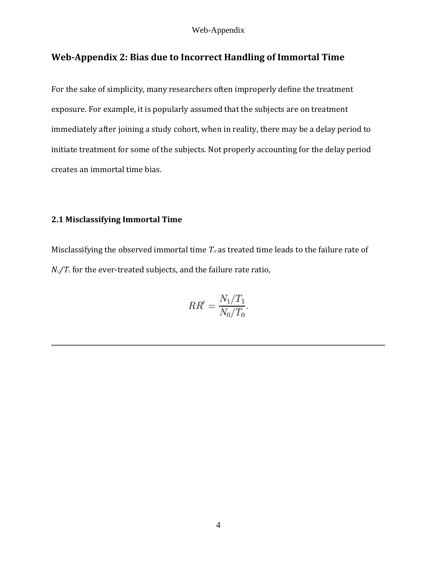# **Web-Appendix 2: Bias due to Incorrect Handling of Immortal Time**

For the sake of simplicity, many researchers often improperly define the treatment exposure. For example, it is popularly assumed that the subjects are on treatment immediately after joining a study cohort, when in reality, there may be a delay period to initiate treatment for some of the subjects. Not properly accounting for the delay period creates an immortal time bias.

# **2.1 Misclassifying Immortal Time**

Misclassifying the observed immortal time  $T<sub>IT</sub>$  as treated time leads to the failure rate of *N*<sub>1</sub>/*T*<sub>1</sub> for the ever-treated subjects, and the failure rate ratio,

$$
RR' = \frac{N_1/T_1}{N_0/T_0}.
$$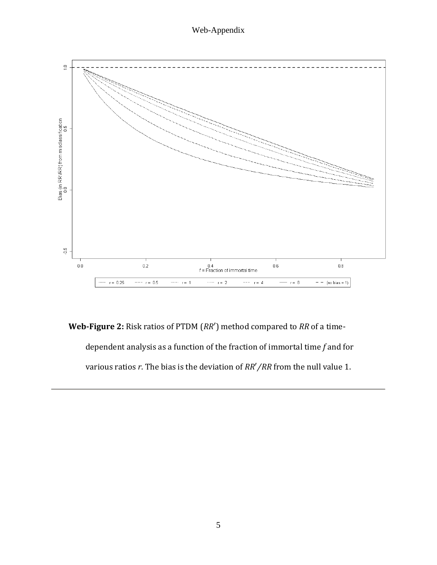

**Web-Figure 2:** Risk ratios of PTDM (*RR*′) method compared to *RR* of a timedependent analysis as a function of the fraction of immortal time *f* and for various ratios *r*. The bias is the deviation of *RR*′*∕RR* from the null value 1.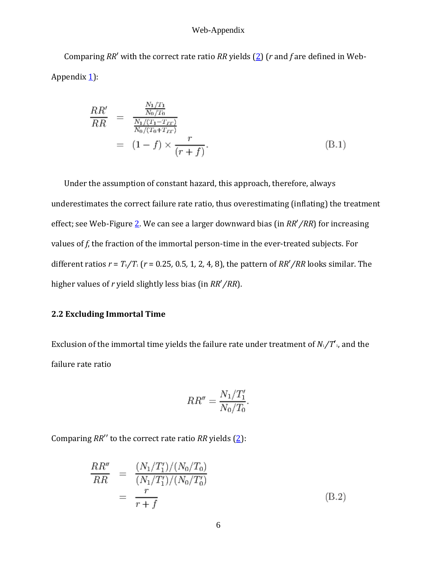Comparing *RR*′ with the correct rate ratio *RR* yields (2) (*r* and *f* are defined in Web-Appendix  $\underline{1}$ :

$$
\frac{RR'}{RR} = \frac{\frac{N_1/T_1}{N_0/T_0}}{\frac{N_1/(T_1 - T_{IT})}{N_0/(T_0 + T_{IT})}}
$$
\n
$$
= (1 - f) \times \frac{r}{(r + f)}.
$$
\n(B.1)

Under the assumption of constant hazard, this approach, therefore, always underestimates the correct failure rate ratio, thus overestimating (inflating) the treatment effect; see Web-Figure 2. We can see a larger downward bias (in *RR*′*∕RR*) for increasing values of *f*, the fraction of the immortal person-time in the ever-treated subjects. For different ratios  $r = T_0/T_1$  ( $r = 0.25$ , 0.5, 1, 2, 4, 8), the pattern of  $RR'/RR$  looks similar. The higher values of *r* yield slightly less bias (in *RR*′*∕RR*).

### **2.2 Excluding Immortal Time**

Exclusion of the immortal time yields the failure rate under treatment of  $N_1/T_1$ , and the failure rate ratio

$$
RR'' = \frac{N_1/T_1'}{N_0/T_0}.
$$

Comparing *RR*′′ to the correct rate ratio *RR* yields (2):

$$
\frac{RR''}{RR} = \frac{(N_1/T_1')/(N_0/T_0)}{(N_1/T_1')/(N_0/T_0')}
$$
\n
$$
= \frac{r}{r+f}
$$
\n(B.2)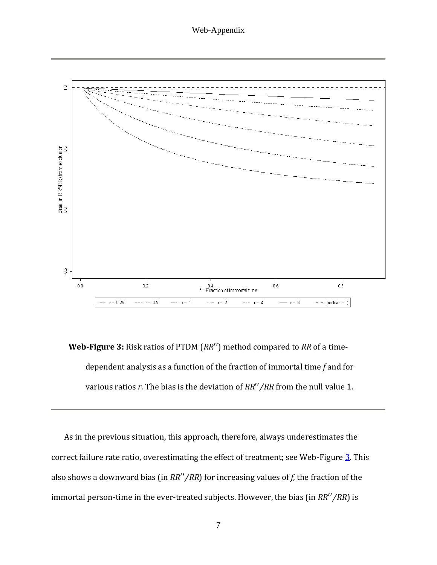

**Web-Figure 3:** Risk ratios of PTDM (*RR*′′) method compared to *RR* of a timedependent analysis as a function of the fraction of immortal time *f* and for various ratios *r*. The bias is the deviation of *RR*′′*∕RR* from the null value 1.

As in the previous situation, this approach, therefore, always underestimates the correct failure rate ratio, overestimating the effect of treatment; see Web-Figure 3. This also shows a downward bias (in *RR*′′*∕RR*) for increasing values of *f*, the fraction of the immortal person-time in the ever-treated subjects. However, the bias (in *RR*′′*∕RR*) is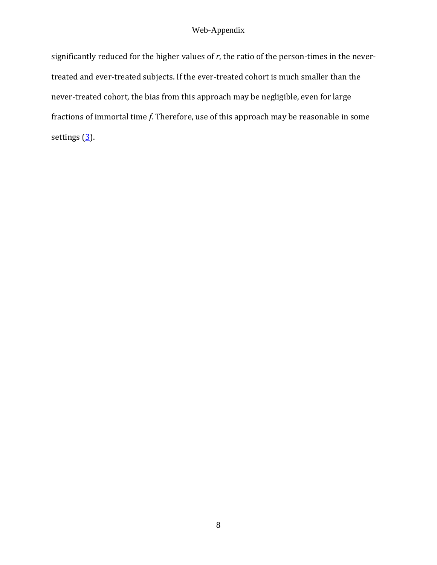significantly reduced for the higher values of *r*, the ratio of the person-times in the nevertreated and ever-treated subjects. If the ever-treated cohort is much smaller than the never-treated cohort, the bias from this approach may be negligible, even for large fractions of immortal time *f*. Therefore, use of this approach may be reasonable in some settings  $(3)$ .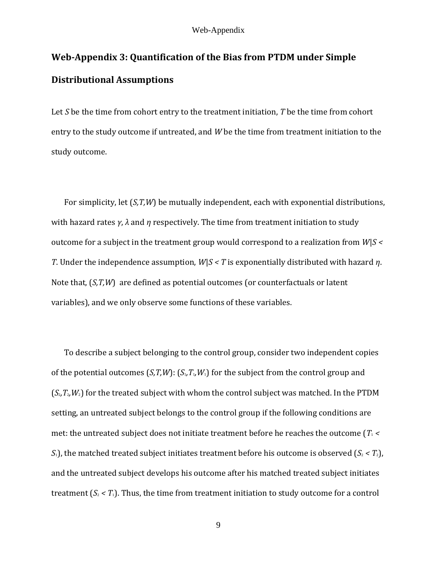# **Web-Appendix 3: Quantification of the Bias from PTDM under Simple Distributional Assumptions**

Let *S* be the time from cohort entry to the treatment initiation, *T* be the time from cohort entry to the study outcome if untreated, and *W* be the time from treatment initiation to the study outcome.

For simplicity, let (*S,T,W*) be mutually independent, each with exponential distributions, with hazard rates *γ*, *λ* and *η* respectively. The time from treatment initiation to study outcome for a subject in the treatment group would correspond to a realization from *W*|*S < T*. Under the independence assumption, *W*|*S < T* is exponentially distributed with hazard *η*. Note that, (*S,T,W*) are defined as potential outcomes (or counterfactuals or latent variables), and we only observe some functions of these variables.

To describe a subject belonging to the control group, consider two independent copies of the potential outcomes  $(S,T,W)$ :  $(S_1,T_1,W_1)$  for the subject from the control group and  $(S_2, T_2, W_2)$  for the treated subject with whom the control subject was matched. In the PTDM setting, an untreated subject belongs to the control group if the following conditions are met: the untreated subject does not initiate treatment before he reaches the outcome  $T_1$  <  $S_1$ ), the matched treated subject initiates treatment before his outcome is observed  $(S_2 < T_2)$ , and the untreated subject develops his outcome after his matched treated subject initiates treatment  $(S_2 < T_1)$ . Thus, the time from treatment initiation to study outcome for a control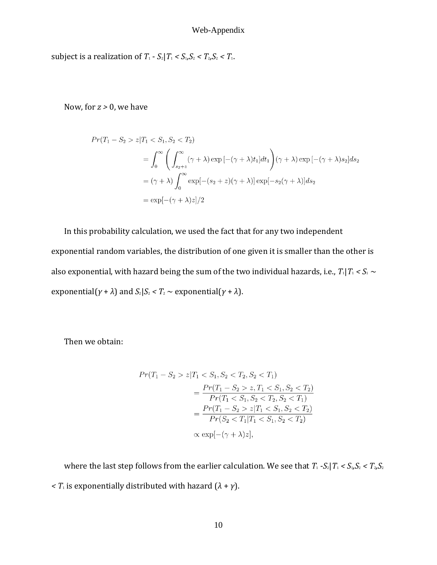subject is a realization of  $T_1$  -  $S_2 | T_1 < S_1, S_2 < T_2, S_2 < T_1$ .

Now, for *z >* 0, we have

$$
Pr(T_1 - S_2 > z | T_1 < S_1, S_2 < T_2)
$$
\n
$$
= \int_0^\infty \left( \int_{s_2 + z}^\infty (\gamma + \lambda) \exp\left[ -(\gamma + \lambda)t_1 \right] dt_1 \right) (\gamma + \lambda) \exp\left[ -(\gamma + \lambda)s_2 \right] ds_2
$$
\n
$$
= (\gamma + \lambda) \int_0^\infty \exp\left[ - (s_2 + z)(\gamma + \lambda) \right] \exp\left[ -s_2(\gamma + \lambda) \right] ds_2
$$
\n
$$
= \exp\left[ -(\gamma + \lambda)z \right] / 2
$$

In this probability calculation, we used the fact that for any two independent exponential random variables, the distribution of one given it is smaller than the other is also exponential, with hazard being the sum of the two individual hazards, i.e.,  $T_1|T_1 < S_1$  ~ exponential( $\gamma + \lambda$ ) and  $S_2 | S_2 < T_2 \sim$  exponential( $\gamma + \lambda$ ).

Then we obtain:

$$
Pr(T_1 - S_2 > z | T_1 < S_1, S_2 < T_2, S_2 < T_1)
$$
\n
$$
= \frac{Pr(T_1 - S_2 > z, T_1 < S_1, S_2 < T_2)}{Pr(T_1 < S_1, S_2 < T_2, S_2 < T_1)}
$$
\n
$$
= \frac{Pr(T_1 - S_2 > z | T_1 < S_1, S_2 < T_2)}{Pr(S_2 < T_1 | T_1 < S_1, S_2 < T_2)}
$$
\n
$$
\propto \exp[-(\gamma + \lambda)z],
$$

where the last step follows from the earlier calculation. We see that  $T_1$  - $S_2 | T_1 < S_1, S_2 < T_2, S_2$  $\langle T_1 \rangle$  *< T*<sub>1</sub> is exponentially distributed with hazard  $(\lambda + \gamma)$ .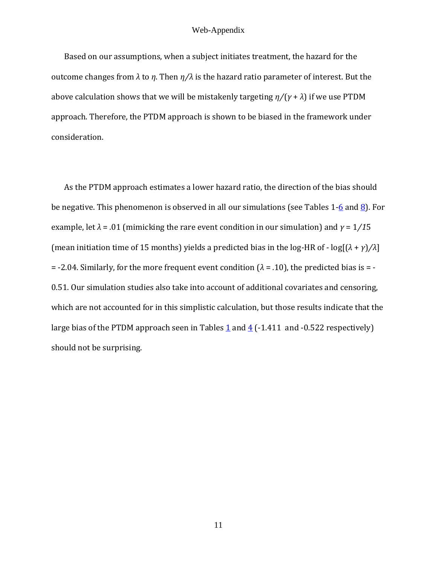Based on our assumptions, when a subject initiates treatment, the hazard for the outcome changes from *λ* to *η*. Then *η∕λ* is the hazard ratio parameter of interest. But the above calculation shows that we will be mistakenly targeting *η∕*(*γ* + *λ*) if we use PTDM approach. Therefore, the PTDM approach is shown to be biased in the framework under consideration.

As the PTDM approach estimates a lower hazard ratio, the direction of the bias should be negative. This phenomenon is observed in all our simulations (see Tables  $1-\underline{6}$  and  $\underline{8}$ ). For example, let  $\lambda$  = .01 (mimicking the rare event condition in our simulation) and  $\gamma$  = 1/15 (mean initiation time of 15 months) yields a predicted bias in the log-HR of - log[(*λ* + *γ*)*∕λ*] = -2.04. Similarly, for the more frequent event condition (*λ* = *.*10), the predicted bias is = - 0.51. Our simulation studies also take into account of additional covariates and censoring, which are not accounted for in this simplistic calculation, but those results indicate that the large bias of the PTDM approach seen in Tables  $1$  and  $4$  (-1.411 and -0.522 respectively) should not be surprising.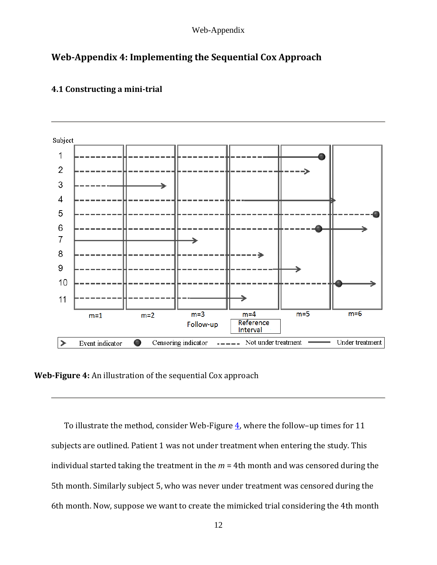# **Web-Appendix 4: Implementing the Sequential Cox Approach**



## **4.1 Constructing a mini-trial**

**Web-Figure 4:** An illustration of the sequential Cox approach

To illustrate the method, consider Web-Figure  $\frac{4}{3}$ , where the follow-up times for 11 subjects are outlined. Patient 1 was not under treatment when entering the study. This individual started taking the treatment in the *m* = 4th month and was censored during the 5th month. Similarly subject 5, who was never under treatment was censored during the 6th month. Now, suppose we want to create the mimicked trial considering the 4th month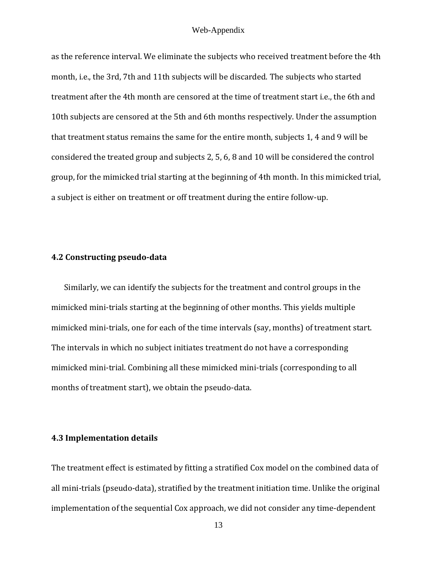as the reference interval. We eliminate the subjects who received treatment before the 4th month, i.e., the 3rd, 7th and 11th subjects will be discarded. The subjects who started treatment after the 4th month are censored at the time of treatment start i.e., the 6th and 10th subjects are censored at the 5th and 6th months respectively. Under the assumption that treatment status remains the same for the entire month, subjects 1, 4 and 9 will be considered the treated group and subjects 2, 5, 6, 8 and 10 will be considered the control group, for the mimicked trial starting at the beginning of 4th month. In this mimicked trial, a subject is either on treatment or off treatment during the entire follow-up.

### **4.2 Constructing pseudo-data**

Similarly, we can identify the subjects for the treatment and control groups in the mimicked mini-trials starting at the beginning of other months. This yields multiple mimicked mini-trials, one for each of the time intervals (say, months) of treatment start. The intervals in which no subject initiates treatment do not have a corresponding mimicked mini-trial. Combining all these mimicked mini-trials (corresponding to all months of treatment start), we obtain the pseudo-data.

### **4.3 Implementation details**

The treatment effect is estimated by fitting a stratified Cox model on the combined data of all mini-trials (pseudo-data), stratified by the treatment initiation time. Unlike the original implementation of the sequential Cox approach, we did not consider any time-dependent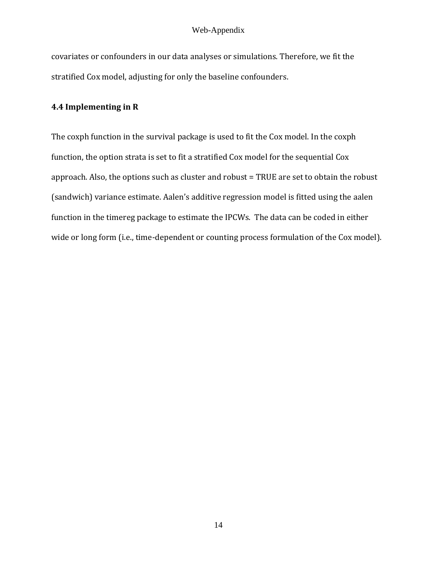covariates or confounders in our data analyses or simulations. Therefore, we fit the stratified Cox model, adjusting for only the baseline confounders.

# **4.4 Implementing in R**

The coxph function in the survival package is used to fit the Cox model. In the coxph function, the option strata is set to fit a stratified Cox model for the sequential Cox approach. Also, the options such as cluster and robust = TRUE are set to obtain the robust (sandwich) variance estimate. Aalen's additive regression model is fitted using the aalen function in the timereg package to estimate the IPCWs. The data can be coded in either wide or long form (i.e., time-dependent or counting process formulation of the Cox model).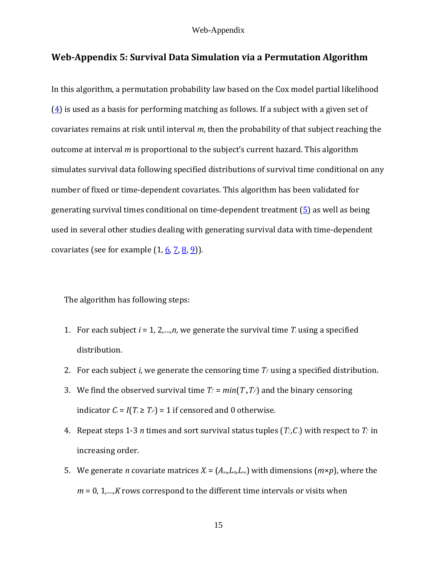# **Web-Appendix 5: Survival Data Simulation via a Permutation Algorithm**

In this algorithm, a permutation probability law based on the Cox model partial likelihood  $(4)$  is used as a basis for performing matching as follows. If a subject with a given set of covariates remains at risk until interval *m*, then the probability of that subject reaching the outcome at interval *m* is proportional to the subject's current hazard. This algorithm simulates survival data following specified distributions of survival time conditional on any number of fixed or time-dependent covariates. This algorithm has been validated for generating survival times conditional on time-dependent treatment  $(5)$  as well as being used in several other studies dealing with generating survival data with time-dependent covariates (see for example  $(1, 6, 7, 8, 9)$ ).

The algorithm has following steps:

- 1. For each subject  $i = 1, 2, \ldots, n$ , we generate the survival time  $T_i$  using a specified distribution.
- 2. For each subject *i*, we generate the censoring time  $T_f$  using a specified distribution.
- 3. We find the observed survival time  $T_i = min(T_i, T_i)$  and the binary censoring indicator  $C_i = I(T_i \geq T_f) = 1$  if censored and 0 otherwise.
- 4. Repeat steps 1-3 *n* times and sort survival status tuples  $(T_i, C_i)$  with respect to  $T_i$  in increasing order.
- 5. We generate *n* covariate matrices  $X_i = (A_{im}L_{in}L_{in})$  with dimensions  $(m \times p)$ , where the  $m = 0, 1, \ldots, K$  rows correspond to the different time intervals or visits when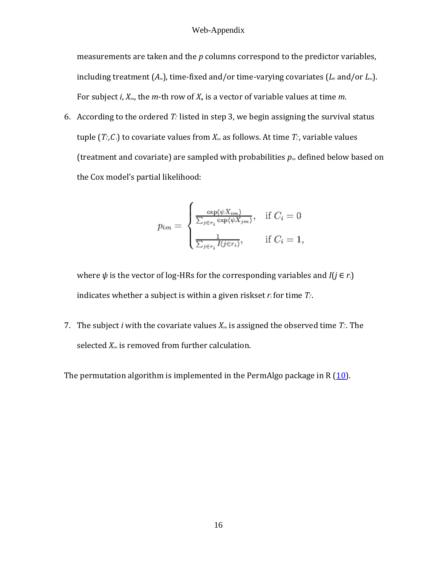measurements are taken and the *p* columns correspond to the predictor variables, including treatment  $(A_m)$ , time-fixed and/or time-varying covariates  $(L_0 \text{ and/or } L_m)$ . For subject *i*, *Xim*, the *m*-th row of *Xi*, is a vector of variable values at time *m*.

6. According to the ordered  $T_t$  listed in step 3, we begin assigning the survival status tuple  $(T_i, C_i)$  to covariate values from  $X_m$  as follows. At time  $T_i$ , variable values (treatment and covariate) are sampled with probabilities *pim* defined below based on the Cox model's partial likelihood:

$$
p_{im} = \begin{cases} \frac{\exp(\psi X_{im})}{\sum_{j \in r_i} \exp(\psi X_{jm})}, & \text{if } C_i = 0\\ \frac{1}{\sum_{j \in r_i} I(j \in r_i)}, & \text{if } C_i = 1, \end{cases}
$$

where  $\psi$  is the vector of log-HRs for the corresponding variables and  $I(i \in r_i)$ indicates whether a subject is within a given riskset  $r_i$  for time  $T_i$ .

7. The subject *i* with the covariate values  $X_{im}$  is assigned the observed time  $T_i$ . The selected *Xim* is removed from further calculation.

The permutation algorithm is implemented in the PermAlgo package in R  $(10)$ .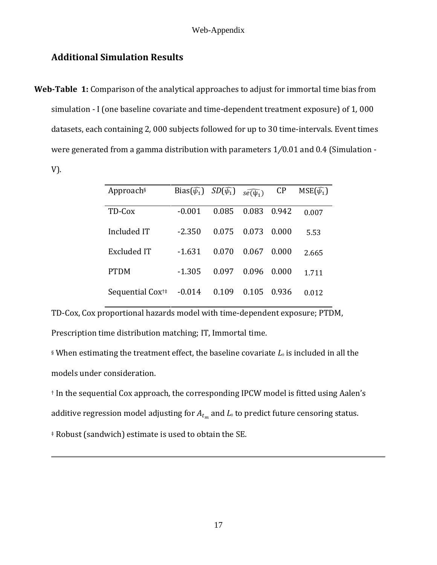# **Additional Simulation Results**

**Web-Table 1:** Comparison of the analytical approaches to adjust for immortal time bias from simulation - I (one baseline covariate and time-dependent treatment exposure) of 1*,* 000 datasets, each containing 2*,* 000 subjects followed for up to 30 time-intervals. Event times were generated from a gamma distribution with parameters 1*∕*0*.*01 and 0*.*4 (Simulation - V).

| Approach§                   | Bias $(\widehat{\psi_1})$ | $SD(\widehat{\psi_1})$ | $s\widehat{e(\psi_1)}$ | CP    | $MSE(\widehat{\psi_1})$ |
|-----------------------------|---------------------------|------------------------|------------------------|-------|-------------------------|
| TD-Cox                      | $-0.001$                  | 0.085                  | 0.083                  | 0.942 | 0.007                   |
| Included IT                 | $-2.350$                  | 0.075                  | 0.073                  | 0.000 | 5.53                    |
| Excluded IT                 | $-1.631$                  | 0.070                  | 0.067                  | 0.000 | 2.665                   |
| <b>PTDM</b>                 | $-1.305$                  | 0.097                  | 0.096                  | 0.000 | 1.711                   |
| Sequential Cox <sup>†</sup> | $-0.014$                  | 0.109                  | 0.105                  | 0.936 | 0.012                   |

TD-Cox, Cox proportional hazards model with time-dependent exposure; PTDM, Prescription time distribution matching; IT, Immortal time.

§ When estimating the treatment effect, the baseline covariate  $L_0$  is included in all the models under consideration.

† In the sequential Cox approach, the corresponding IPCW model is fitted using Aalen's

additive regression model adjusting for  $A_{t_m}$  and  $L_\circ$  to predict future censoring status.

‡ Robust (sandwich) estimate is used to obtain the SE.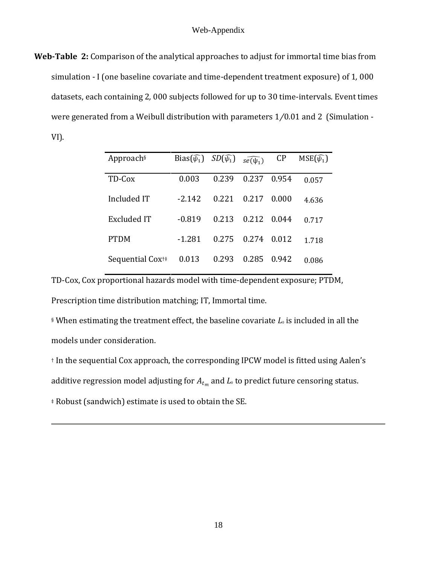**Web-Table 2:** Comparison of the analytical approaches to adjust for immortal time bias from simulation - I (one baseline covariate and time-dependent treatment exposure) of 1*,* 000 datasets, each containing 2*,* 000 subjects followed for up to 30 time-intervals. Event times were generated from a Weibull distribution with parameters 1*∕*0*.*01 and 2 (Simulation - VI).

| Approach <sup>§</sup>       | Bias $(\widehat{\psi_1})$ | $SD(\widehat{\psi_1})$ | $s\widehat{e(\psi_1)}$ | CP    | $MSE(\widehat{\psi_1})$ |
|-----------------------------|---------------------------|------------------------|------------------------|-------|-------------------------|
| TD-Cox                      | 0.003                     | 0.239                  | 0.237                  | 0.954 | 0.057                   |
| Included IT                 | $-2.142$                  | 0.221                  | 0.217                  | 0.000 | 4.636                   |
| <b>Excluded IT</b>          | $-0.819$                  | 0.213                  | 0.212                  | 0.044 | 0.717                   |
| <b>PTDM</b>                 | -1.281                    | 0.275                  | 0.274                  | 0.012 | 1.718                   |
| Sequential Cox <sup>†</sup> | 0.013                     | 0.293                  | 0.285                  | 0.942 | 0.086                   |

TD-Cox, Cox proportional hazards model with time-dependent exposure; PTDM, Prescription time distribution matching; IT, Immortal time.

§ When estimating the treatment effect, the baseline covariate  $L_0$  is included in all the models under consideration.

† In the sequential Cox approach, the corresponding IPCW model is fitted using Aalen's

additive regression model adjusting for  $A_{t_m}$  and  $L_\circ$  to predict future censoring status.

‡ Robust (sandwich) estimate is used to obtain the SE.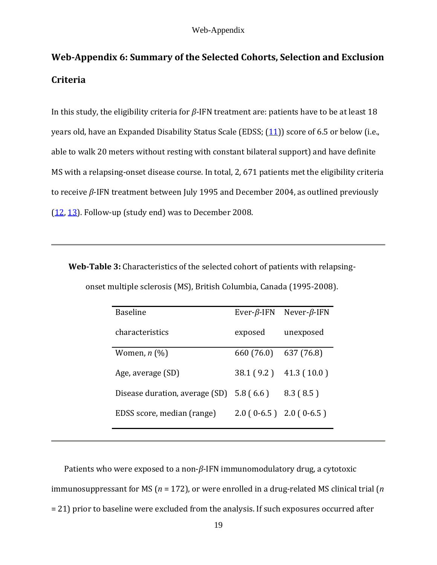# **Web-Appendix 6: Summary of the Selected Cohorts, Selection and Exclusion Criteria**

In this study, the eligibility criteria for *β*-IFN treatment are: patients have to be at least 18 years old, have an Expanded Disability Status Scale (EDSS; (11)) score of 6.5 or below (i.e., able to walk 20 meters without resting with constant bilateral support) and have definite MS with a relapsing-onset disease course. In total, 2*,* 671 patients met the eligibility criteria to receive *β*-IFN treatment between July 1995 and December 2004, as outlined previously (12, 13). Follow-up (study end) was to December 2008.

**Web-Table 3:** Characteristics of the selected cohort of patients with relapsingonset multiple sclerosis (MS), British Columbia, Canada (1995-2008).

| <b>Baseline</b>                     | Ever- $\beta$ -IFN | Never- $\beta$ -IFN       |
|-------------------------------------|--------------------|---------------------------|
| characteristics                     | exposed            | unexposed                 |
| Women, $n \left(\frac{0}{0}\right)$ | 660 (76.0)         | 637 (76.8)                |
| Age, average (SD)                   | 38.1 (9.2)         | 41.3(10.0)                |
| Disease duration, average (SD)      | 5.8(6.6)           | 8.3(8.5)                  |
| EDSS score, median (range)          |                    | $2.0(0-6.5)$ $2.0(0-6.5)$ |

Patients who were exposed to a non-*β*-IFN immunomodulatory drug, a cytotoxic immunosuppressant for MS (*n* = 172), or were enrolled in a drug-related MS clinical trial (*n*  = 21) prior to baseline were excluded from the analysis. If such exposures occurred after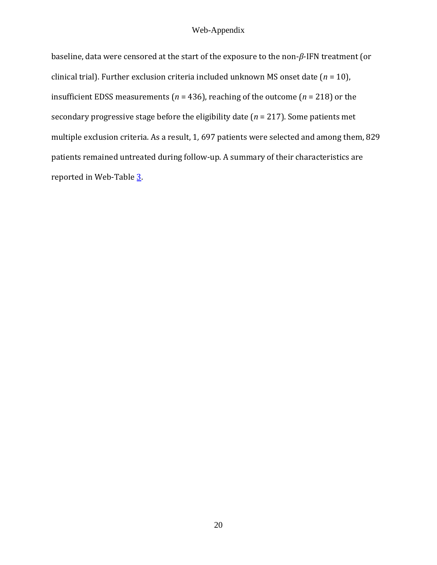baseline, data were censored at the start of the exposure to the non-*β*-IFN treatment (or clinical trial). Further exclusion criteria included unknown MS onset date (*n* = 10), insufficient EDSS measurements (*n* = 436), reaching of the outcome (*n* = 218) or the secondary progressive stage before the eligibility date (*n* = 217). Some patients met multiple exclusion criteria. As a result, 1*,* 697 patients were selected and among them, 829 patients remained untreated during follow-up. A summary of their characteristics are reported in Web-Table 3.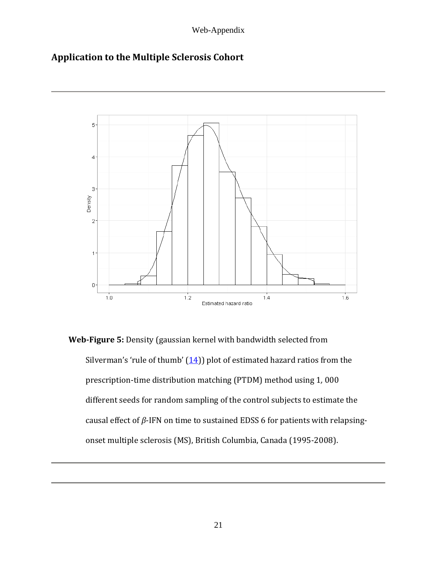# **Application to the Multiple Sclerosis Cohort**



**Web-Figure 5:** Density (gaussian kernel with bandwidth selected from Silverman's 'rule of thumb'  $(14)$ ) plot of estimated hazard ratios from the prescription-time distribution matching (PTDM) method using 1*,* 000 different seeds for random sampling of the control subjects to estimate the causal effect of *β*-IFN on time to sustained EDSS 6 for patients with relapsingonset multiple sclerosis (MS), British Columbia, Canada (1995-2008).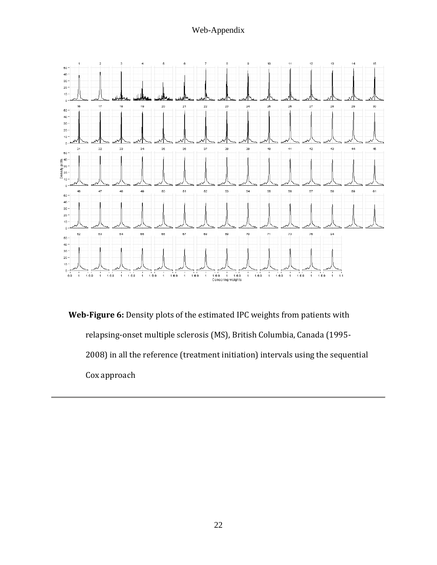

**Web-Figure 6:** Density plots of the estimated IPC weights from patients with relapsing-onset multiple sclerosis (MS), British Columbia, Canada (1995- 2008) in all the reference (treatment initiation) intervals using the sequential Cox approach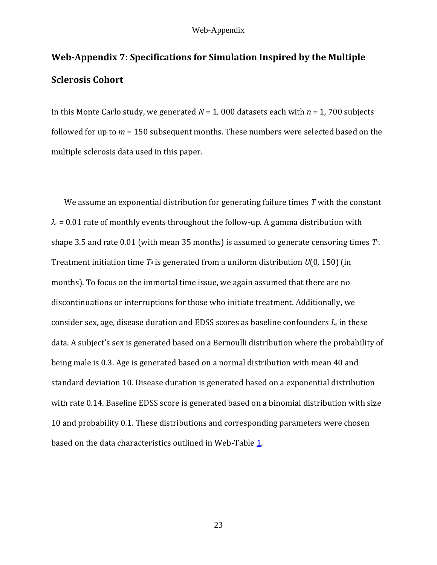# **Web-Appendix 7: Specifications for Simulation Inspired by the Multiple Sclerosis Cohort**

In this Monte Carlo study, we generated *N* = 1*,* 000 datasets each with *n* = 1*,* 700 subjects followed for up to *m* = 150 subsequent months. These numbers were selected based on the multiple sclerosis data used in this paper.

We assume an exponential distribution for generating failure times *T* with the constant  $\lambda$ <sup>0</sup> = 0.01 rate of monthly events throughout the follow-up. A gamma distribution with shape 3*.*5 and rate 0*.*01 (with mean 35 months) is assumed to generate censoring times *TC*. Treatment initiation time *T<sup>A</sup>* is generated from a uniform distribution *U*(0*,* 150) (in months). To focus on the immortal time issue, we again assumed that there are no discontinuations or interruptions for those who initiate treatment. Additionally, we consider sex, age, disease duration and EDSS scores as baseline confounders *L*<sup>0</sup> in these data. A subject's sex is generated based on a Bernoulli distribution where the probability of being male is 0.3. Age is generated based on a normal distribution with mean 40 and standard deviation 10. Disease duration is generated based on a exponential distribution with rate 0*.*14. Baseline EDSS score is generated based on a binomial distribution with size 10 and probability 0*.*1. These distributions and corresponding parameters were chosen based on the data characteristics outlined in Web-Table 1.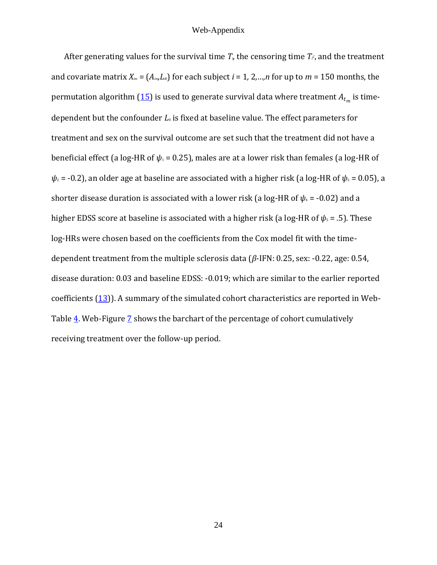After generating values for the survival time  $T_{\nu}$  the censoring time  $T_{\nu}$ , and the treatment and covariate matrix  $X_{im} = (A_{im} L_{i0})$  for each subject  $i = 1, 2, ..., n$  for up to  $m = 150$  months, the permutation algorithm ( $\underline{15}$ ) is used to generate survival data where treatment  $A_{t_m}$  is timedependent but the confounder *L*<sup>0</sup> is fixed at baseline value. The effect parameters for treatment and sex on the survival outcome are set such that the treatment did not have a beneficial effect (a log-HR of  $ψ_1$  = 0.25), males are at a lower risk than females (a log-HR of  $\psi_2$  = -0.2), an older age at baseline are associated with a higher risk (a log-HR of  $\psi_3$  = 0.05), a shorter disease duration is associated with a lower risk (a log-HR of  $\psi$ <sub>4</sub> = -0.02) and a higher EDSS score at baseline is associated with a higher risk (a log-HR of *ψ*<sup>5</sup> = *.*5). These log-HRs were chosen based on the coefficients from the Cox model fit with the timedependent treatment from the multiple sclerosis data (*β*-IFN: 0*.*25, sex: -0*.*22, age: 0*.*54, disease duration: 0*.*03 and baseline EDSS: -0*.*019; which are similar to the earlier reported coefficients (13)). A summary of the simulated cohort characteristics are reported in Web-Table  $\frac{4}{1}$ . Web-Figure  $\frac{7}{1}$  shows the barchart of the percentage of cohort cumulatively receiving treatment over the follow-up period.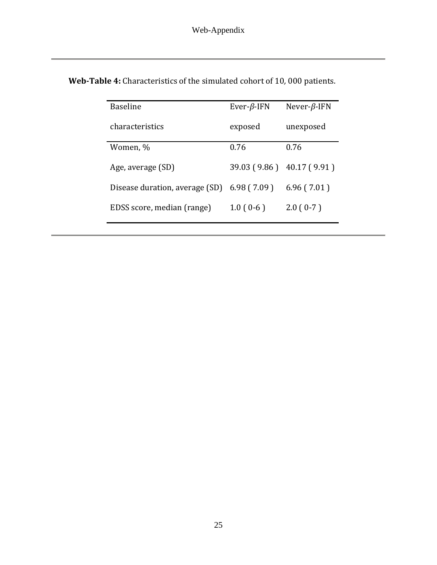| <b>Baseline</b>                | Ever- $\beta$ -IFN | Never- $\beta$ -IFN       |
|--------------------------------|--------------------|---------------------------|
| characteristics                | exposed            | unexposed                 |
| Women, %                       | 0.76               | 0.76                      |
| Age, average (SD)              |                    | 39.03 (9.86) 40.17 (9.91) |
| Disease duration, average (SD) | 6.98(7.09)         | 6.96(7.01)                |
| EDSS score, median (range)     | $1.0(0-6)$         | $2.0(0-7)$                |

**Web-Table 4:** Characteristics of the simulated cohort of 10*,* 000 patients.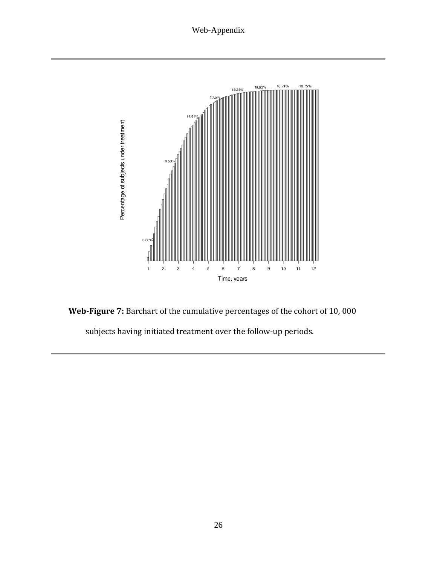

**Web-Figure 7:** Barchart of the cumulative percentages of the cohort of 10*,* 000

subjects having initiated treatment over the follow-up periods.